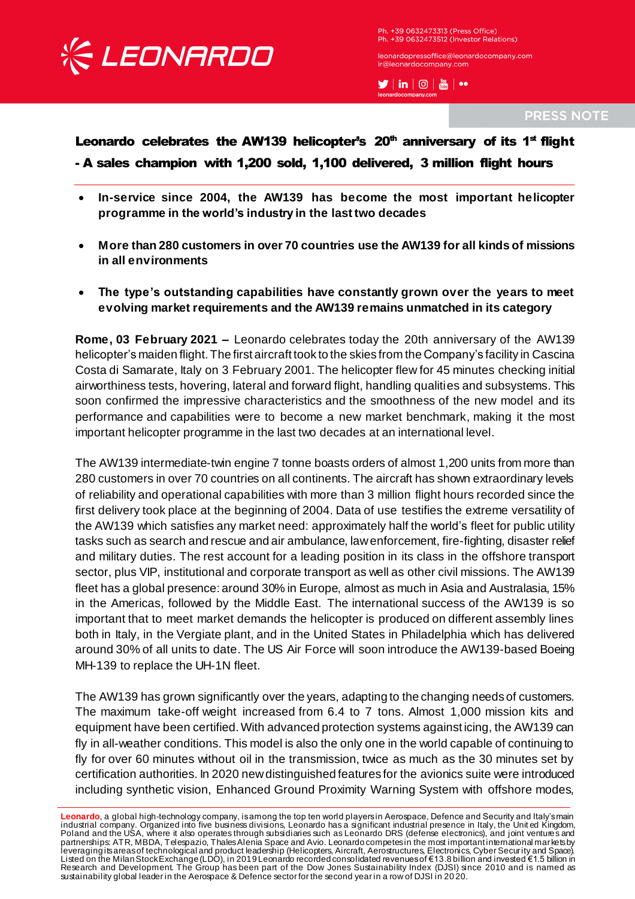

Ph. +39 0632473313 (Press Office) Ph. +39 0632473512 (Investor Relations)

leonardopressoffice@leonardocompany.com ir@leonardocompany.com

 $\blacktriangleright$   $\mid$  in  $\mid$   $\odot$   $\mid$   $\stackrel{\text{\tiny def}}{\text{\tiny def}}$   $\mid$   $\rightsquigarrow$ 

**PRESS NOTE** 

Leonardo celebrates the AW139 helicopter's  $20<sup>th</sup>$  anniversary of its 1<sup>st</sup> flight - A sales champion with 1,200 sold, 1,100 delivered, 3 million flight hours

- **In-service since 2004, the AW139 has become the most important helicopter programme in the world's industry in the last two decades**
- **More than 280 customers in over 70 countries use the AW139 for all kinds of missions in all environments**
- **The type's outstanding capabilities have constantly grown over the years to meet evolving market requirements and the AW139 remains unmatched in its category**

**Rome, 03 February 2021 –** Leonardo celebrates today the 20th anniversary of the AW139 helicopter's maiden flight. The first aircraft took to the skies from the Company's facility in Cascina Costa di Samarate, Italy on 3 February 2001. The helicopter flew for 45 minutes checking initial airworthiness tests, hovering, lateral and forward flight, handling qualities and subsystems. This soon confirmed the impressive characteristics and the smoothness of the new model and its performance and capabilities were to become a new market benchmark, making it the most important helicopter programme in the last two decades at an international level.

The AW139 intermediate-twin engine 7 tonne boasts orders of almost 1,200 units from more than 280 customers in over 70 countries on all continents. The aircraft has shown extraordinary levels of reliability and operational capabilities with more than 3 million flight hours recorded since the first delivery took place at the beginning of 2004. Data of use testifies the extreme versatility of the AW139 which satisfies any market need: approximately half the world's fleet for public utility tasks such as search and rescue and air ambulance, law enforcement, fire-fighting, disaster relief and military duties. The rest account for a leading position in its class in the offshore transport sector, plus VIP, institutional and corporate transport as well as other civil missions. The AW139 fleet has a global presence: around 30% in Europe, almost as much in Asia and Australasia, 15% in the Americas, followed by the Middle East. The international success of the AW139 is so important that to meet market demands the helicopter is produced on different assembly lines both in Italy, in the Vergiate plant, and in the United States in Philadelphia which has delivered around 30% of all units to date. The US Air Force will soon introduce the AW139-based Boeing MH-139 to replace the UH-1N fleet.

The AW139 has grown significantly over the years, adapting to the changing needs of customers. The maximum take-off weight increased from 6.4 to 7 tons. Almost 1,000 mission kits and equipment have been certified. With advanced protection systems against icing, the AW139 can fly in all-weather conditions. This model is also the only one in the world capable of continuing to fly for over 60 minutes without oil in the transmission, twice as much as the 30 minutes set by certification authorities. In 2020 new distinguished features for the avionics suite were introduced including synthetic vision, Enhanced Ground Proximity Warning System with offshore modes,

**Leonardo**, a global high-technology company, is among the top ten world players in Aerospace, Defence and Security and Italy's main industrial company. Organized into five business divisions, Leonardo has a significant industrial presence in Italy, the Unit ed Kingdom, Poland and the USA, where it also operates through subsidiaries such as Leonardo DRS (defense electronics), and joint ventures and partnerships: ATR, MBDA, Telespazio, Thales Alenia Space and Avio. Leonardo competes in the most important international markets by leveraging its areas of technological and product leadership (Helicopters, Aircraft, Aerostructures, Electronics, Cyber Security and Space). Listed on the Milan Stock Exchange (LDO), in 2019 Leonardo recorded consolidated revenues of €13.8 billion and invested €1.5 billion in Research and Development. The Group has been part of the Dow Jones Sustainability Index (DJSI) since 2010 and is named as sustainability global leader in the Aerospace & Defence sector for the second year in a row of DJSI in 20 20.